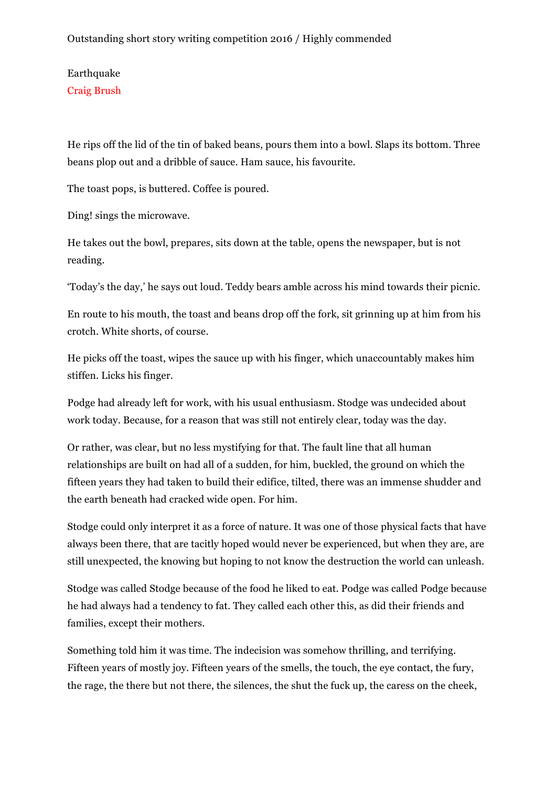Earthquake Craig Brush

He rips off the lid of the tin of baked beans, pours them into a bowl. Slaps its bottom. Three beans plop out and a dribble of sauce. Ham sauce, his favourite.

The toast pops, is buttered. Coffee is poured.

Ding! sings the microwave.

He takes out the bowl, prepares, sits down at the table, opens the newspaper, but is not reading.

'Today's the day,' he says out loud. Teddy bears amble across his mind towards their picnic.

En route to his mouth, the toast and beans drop off the fork, sit grinning up at him from his crotch. White shorts, of course.

He picks off the toast, wipes the sauce up with his finger, which unaccountably makes him stiffen. Licks his finger.

Podge had already left for work, with his usual enthusiasm. Stodge was undecided about work today. Because, for a reason that was still not entirely clear, today was the day.

Or rather, was clear, but no less mystifying for that. The fault line that all human relationships are built on had all of a sudden, for him, buckled, the ground on which the fifteen years they had taken to build their edifice, tilted, there was an immense shudder and the earth beneath had cracked wide open. For him.

Stodge could only interpret it as a force of nature. It was one of those physical facts that have always been there, that are tacitly hoped would never be experienced, but when they are, are still unexpected, the knowing but hoping to not know the destruction the world can unleash.

Stodge was called Stodge because of the food he liked to eat. Podge was called Podge because he had always had a tendency to fat. They called each other this, as did their friends and families, except their mothers.

Something told him it was time. The indecision was somehow thrilling, and terrifying. Fifteen years of mostly joy. Fifteen years of the smells, the touch, the eye contact, the fury, the rage, the there but not there, the silences, the shut the fuck up, the caress on the cheek,